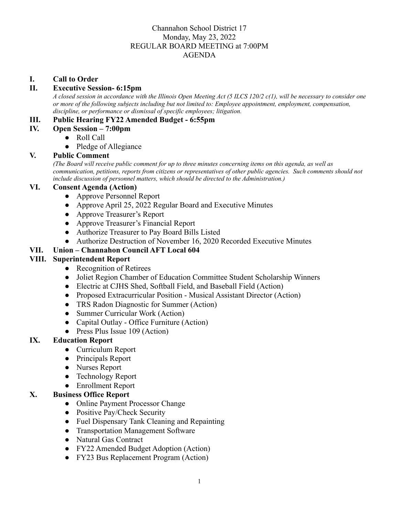## Channahon School District 17 Monday, May 23, 2022 REGULAR BOARD MEETING at 7:00PM AGENDA

#### **I. Call to Order**

#### **II. Executive Session- 6:15pm**

A closed session in accordance with the Illinois Open Meeting Act (5 ILCS 120/2 c(1), will be necessary to consider one *or more of the following subjects including but not limited to: Employee appointment, employment, compensation, discipline, or performance or dismissal of specific employees; litigation.*

#### **III. Public Hearing FY22 Amended Budget - 6:55pm**

- **IV. Open Session 7:00pm**
	- Roll Call
	- **●** Pledge of Allegiance

#### **V. Public Comment**

(The Board will receive public comment for up to three minutes concerning items on this agenda, as well as *communication, petitions, reports from citizens or representatives of other public agencies. Such comments should not include discussion of personnel matters, which should be directed to the Administration.)*

## **VI. Consent Agenda (Action)**

- **●** Approve Personnel Report
- **●** Approve April 25, 2022 Regular Board and Executive Minutes
- **●** Approve Treasurer's Report
- **●** Approve Treasurer's Financial Report
- **●** Authorize Treasurer to Pay Board Bills Listed
- **●** Authorize Destruction of November 16, 2020 Recorded Executive Minutes

#### **VII. Union – Channahon Council AFT Local 604**

#### **VIII. Superintendent Report**

- **●** Recognition of Retirees
- **●** Joliet Region Chamber of Education Committee Student Scholarship Winners
- **●** Electric at CJHS Shed, Softball Field, and Baseball Field (Action)
- **●** Proposed Extracurricular Position Musical Assistant Director (Action)
- **●** TRS Radon Diagnostic for Summer (Action)
- **●** Summer Curricular Work (Action)
- **●** Capital Outlay Office Furniture (Action)
- **●** Press Plus Issue 109 (Action)

## **IX. Education Report**

- Curriculum Report
- Principals Report
- Nurses Report
- Technology Report
- Enrollment Report

## **X. Business Office Report**

- Online Payment Processor Change
- Positive Pay/Check Security
- Fuel Dispensary Tank Cleaning and Repainting
- Transportation Management Software
- Natural Gas Contract
- FY22 Amended Budget Adoption (Action)
- FY23 Bus Replacement Program (Action)